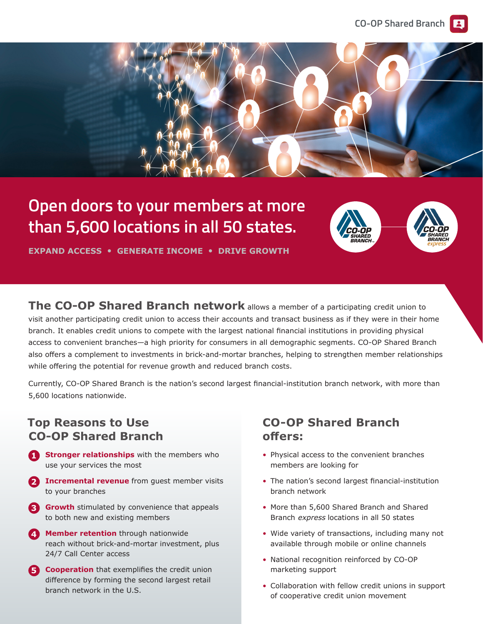

## **Open doors to your members at more than 5,**6**00 locations in all 50 states.**



**EXPAND ACCESS • GENERATE INCOME • DRIVE GROWTH**

**The CO-OP Shared Branch network** allows a member of a participating credit union to visit another participating credit union to access their accounts and transact business as if they were in their home branch. It enables credit unions to compete with the largest national financial institutions in providing physical access to convenient branches—a high priority for consumers in all demographic segments. CO-OP Shared Branch also offers a complement to investments in brick-and-mortar branches, helping to strengthen member relationships while offering the potential for revenue growth and reduced branch costs.

Currently, CO-OP Shared Branch is the nation's second largest financial-institution branch network, with more than 5,600 locations nationwide.

### **Top Reasons to Use CO-OP Shared Branch**

- **1 Stronger relationships** with the members who use your services the most
- **2 Incremental revenue** from guest member visits to your branches
- **3 Growth** stimulated by convenience that appeals to both new and existing members
- **4 Member retention** through nationwide reach without brick-and-mortar investment, plus 24/7 Call Center access
- **5 Cooperation** that exemplifies the credit union difference by forming the second largest retail branch network in the U.S.

#### **CO-OP Shared Branch offers:**

- Physical access to the convenient branches members are looking for
- The nation's second largest financial-institution branch network
- More than 5,600 Shared Branch and Shared Branch express locations in all 50 states
- Wide variety of transactions, including many not available through mobile or online channels
- National recognition reinforced by CO-OP marketing support
- Collaboration with fellow credit unions in support of cooperative credit union movement